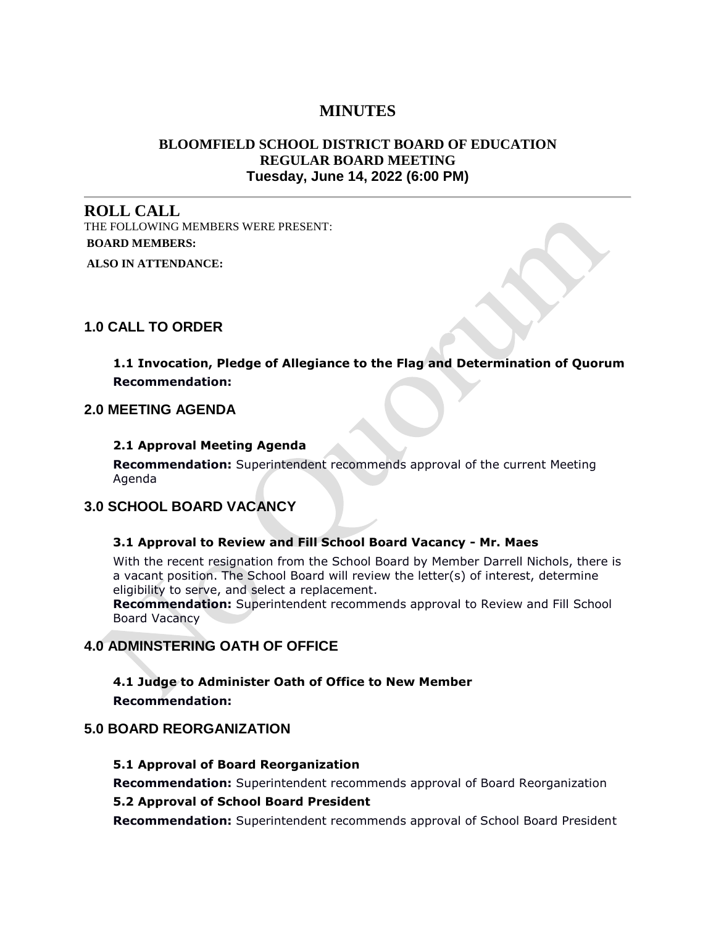# **MINUTES**

# **BLOOMFIELD SCHOOL DISTRICT BOARD OF EDUCATION REGULAR BOARD MEETING Tuesday, June 14, 2022 (6:00 PM)**

**ROLL CALL** THE FOLLOWING MEMBERS WERE PRESENT: **BOARD MEMBERS:**

**ALSO IN ATTENDANCE:**

# **1.0 CALL TO ORDER**

# **1.1 Invocation, Pledge of Allegiance to the Flag and Determination of Quorum Recommendation:**

# **2.0 MEETING AGENDA**

#### **2.1 Approval Meeting Agenda**

**Recommendation:** Superintendent recommends approval of the current Meeting Agenda

# **3.0 SCHOOL BOARD VACANCY**

#### **3.1 Approval to Review and Fill School Board Vacancy - Mr. Maes**

With the recent resignation from the School Board by Member Darrell Nichols, there is a vacant position. The School Board will review the letter(s) of interest, determine eligibility to serve, and select a replacement.

**Recommendation:** Superintendent recommends approval to Review and Fill School Board Vacancy

# **4.0 ADMINSTERING OATH OF OFFICE**

**4.1 Judge to Administer Oath of Office to New Member Recommendation:**

# **5.0 BOARD REORGANIZATION**

#### **5.1 Approval of Board Reorganization**

**Recommendation:** Superintendent recommends approval of Board Reorganization

#### **5.2 Approval of School Board President**

**Recommendation:** Superintendent recommends approval of School Board President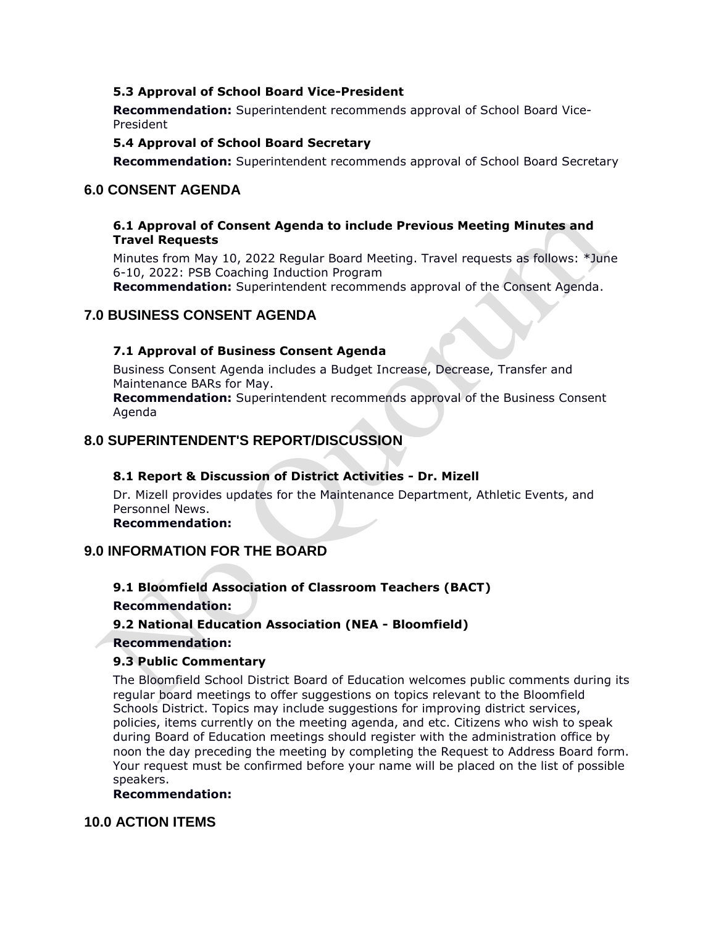#### **5.3 Approval of School Board Vice-President**

**Recommendation:** Superintendent recommends approval of School Board Vice-President

#### **5.4 Approval of School Board Secretary**

**Recommendation:** Superintendent recommends approval of School Board Secretary

# **6.0 CONSENT AGENDA**

#### **6.1 Approval of Consent Agenda to include Previous Meeting Minutes and Travel Requests**

Minutes from May 10, 2022 Regular Board Meeting. Travel requests as follows: \*June 6-10, 2022: PSB Coaching Induction Program

**Recommendation:** Superintendent recommends approval of the Consent Agenda.

# **7.0 BUSINESS CONSENT AGENDA**

# **7.1 Approval of Business Consent Agenda**

Business Consent Agenda includes a Budget Increase, Decrease, Transfer and Maintenance BARs for May.

**Recommendation:** Superintendent recommends approval of the Business Consent Agenda

# **8.0 SUPERINTENDENT'S REPORT/DISCUSSION**

# **8.1 Report & Discussion of District Activities - Dr. Mizell**

Dr. Mizell provides updates for the Maintenance Department, Athletic Events, and Personnel News.

**Recommendation:**

# **9.0 INFORMATION FOR THE BOARD**

# **9.1 Bloomfield Association of Classroom Teachers (BACT)**

**Recommendation:**

# **9.2 National Education Association (NEA - Bloomfield)**

#### **Recommendation:**

# **9.3 Public Commentary**

The Bloomfield School District Board of Education welcomes public comments during its regular board meetings to offer suggestions on topics relevant to the Bloomfield Schools District. Topics may include suggestions for improving district services, policies, items currently on the meeting agenda, and etc. Citizens who wish to speak during Board of Education meetings should register with the administration office by noon the day preceding the meeting by completing the Request to Address Board form. Your request must be confirmed before your name will be placed on the list of possible speakers.

### **Recommendation:**

# **10.0 ACTION ITEMS**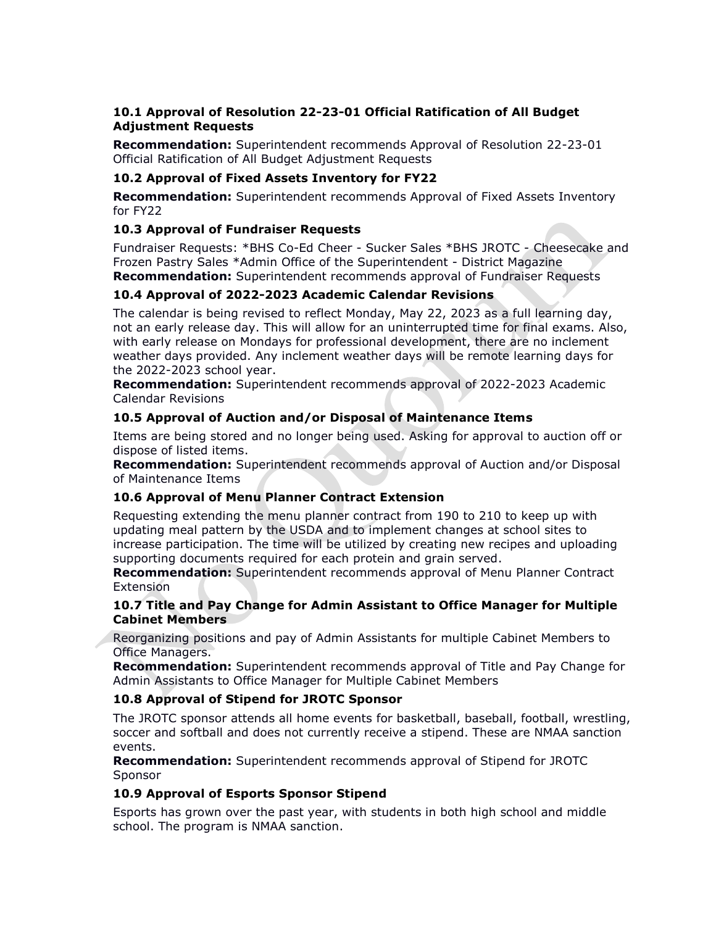# **10.1 Approval of Resolution 22-23-01 Official Ratification of All Budget Adjustment Requests**

**Recommendation:** Superintendent recommends Approval of Resolution 22-23-01 Official Ratification of All Budget Adjustment Requests

# **10.2 Approval of Fixed Assets Inventory for FY22**

**Recommendation:** Superintendent recommends Approval of Fixed Assets Inventory for FY22

# **10.3 Approval of Fundraiser Requests**

Fundraiser Requests: \*BHS Co-Ed Cheer - Sucker Sales \*BHS JROTC - Cheesecake and Frozen Pastry Sales \*Admin Office of the Superintendent - District Magazine **Recommendation:** Superintendent recommends approval of Fundraiser Requests

# **10.4 Approval of 2022-2023 Academic Calendar Revisions**

The calendar is being revised to reflect Monday, May 22, 2023 as a full learning day, not an early release day. This will allow for an uninterrupted time for final exams. Also, with early release on Mondays for professional development, there are no inclement weather days provided. Any inclement weather days will be remote learning days for the 2022-2023 school year.

**Recommendation:** Superintendent recommends approval of 2022-2023 Academic Calendar Revisions

# **10.5 Approval of Auction and/or Disposal of Maintenance Items**

Items are being stored and no longer being used. Asking for approval to auction off or dispose of listed items.

**Recommendation:** Superintendent recommends approval of Auction and/or Disposal of Maintenance Items

# **10.6 Approval of Menu Planner Contract Extension**

Requesting extending the menu planner contract from 190 to 210 to keep up with updating meal pattern by the USDA and to implement changes at school sites to increase participation. The time will be utilized by creating new recipes and uploading supporting documents required for each protein and grain served.

**Recommendation:** Superintendent recommends approval of Menu Planner Contract Extension

#### **10.7 Title and Pay Change for Admin Assistant to Office Manager for Multiple Cabinet Members**

Reorganizing positions and pay of Admin Assistants for multiple Cabinet Members to Office Managers.

**Recommendation:** Superintendent recommends approval of Title and Pay Change for Admin Assistants to Office Manager for Multiple Cabinet Members

# **10.8 Approval of Stipend for JROTC Sponsor**

The JROTC sponsor attends all home events for basketball, baseball, football, wrestling, soccer and softball and does not currently receive a stipend. These are NMAA sanction events.

**Recommendation:** Superintendent recommends approval of Stipend for JROTC Sponsor

# **10.9 Approval of Esports Sponsor Stipend**

Esports has grown over the past year, with students in both high school and middle school. The program is NMAA sanction.